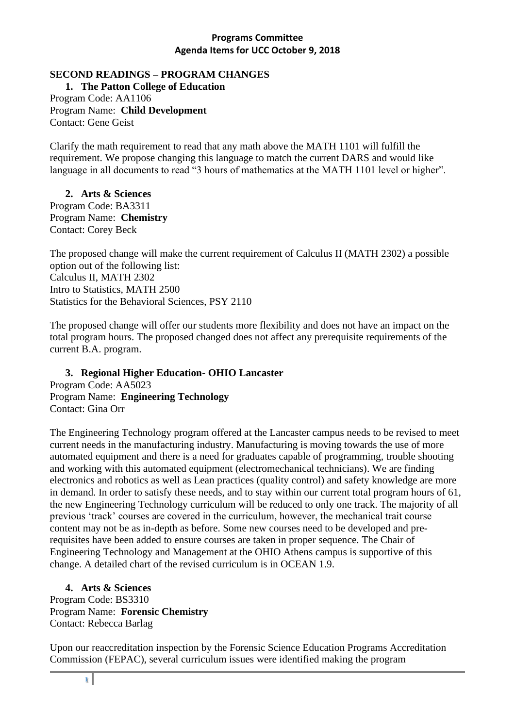#### **SECOND READINGS – PROGRAM CHANGES**

**1. The Patton College of Education** Program Code: AA1106 Program Name: **Child Development** Contact: Gene Geist

Clarify the math requirement to read that any math above the MATH 1101 will fulfill the requirement. We propose changing this language to match the current DARS and would like language in all documents to read "3 hours of mathematics at the MATH 1101 level or higher".

#### **2. Arts & Sciences**  Program Code: BA3311

Program Name: **Chemistry** Contact: Corey Beck

The proposed change will make the current requirement of Calculus II (MATH 2302) a possible option out of the following list: Calculus II, MATH 2302 Intro to Statistics, MATH 2500 Statistics for the Behavioral Sciences, PSY 2110

The proposed change will offer our students more flexibility and does not have an impact on the total program hours. The proposed changed does not affect any prerequisite requirements of the current B.A. program.

#### **3. Regional Higher Education- OHIO Lancaster** Program Code: AA5023 Program Name: **Engineering Technology** Contact: Gina Orr

The Engineering Technology program offered at the Lancaster campus needs to be revised to meet current needs in the manufacturing industry. Manufacturing is moving towards the use of more automated equipment and there is a need for graduates capable of programming, trouble shooting and working with this automated equipment (electromechanical technicians). We are finding electronics and robotics as well as Lean practices (quality control) and safety knowledge are more in demand. In order to satisfy these needs, and to stay within our current total program hours of 61, the new Engineering Technology curriculum will be reduced to only one track. The majority of all previous 'track' courses are covered in the curriculum, however, the mechanical trait course content may not be as in-depth as before. Some new courses need to be developed and prerequisites have been added to ensure courses are taken in proper sequence. The Chair of Engineering Technology and Management at the OHIO Athens campus is supportive of this change. A detailed chart of the revised curriculum is in OCEAN 1.9.

## **4. Arts & Sciences**

Program Code: BS3310 Program Name: **Forensic Chemistry** Contact: Rebecca Barlag

Upon our reaccreditation inspection by the Forensic Science Education Programs Accreditation Commission (FEPAC), several curriculum issues were identified making the program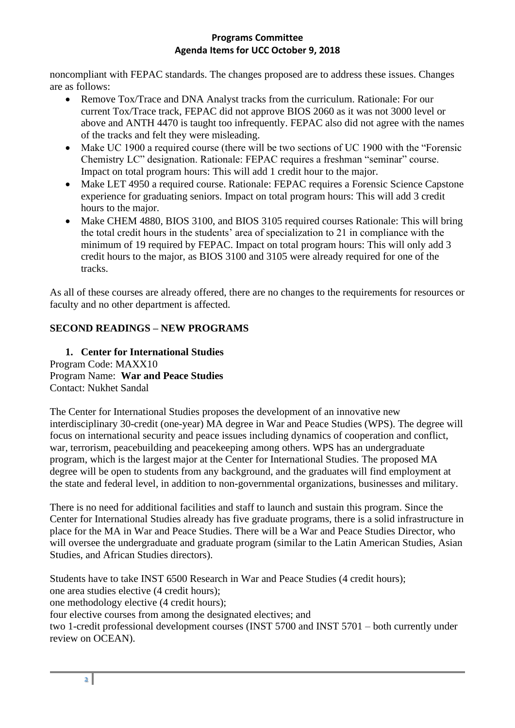noncompliant with FEPAC standards. The changes proposed are to address these issues. Changes are as follows:

- Remove Tox/Trace and DNA Analyst tracks from the curriculum. Rationale: For our current Tox/Trace track, FEPAC did not approve BIOS 2060 as it was not 3000 level or above and ANTH 4470 is taught too infrequently. FEPAC also did not agree with the names of the tracks and felt they were misleading.
- Make UC 1900 a required course (there will be two sections of UC 1900 with the "Forensic" Chemistry LC" designation. Rationale: FEPAC requires a freshman "seminar" course. Impact on total program hours: This will add 1 credit hour to the major.
- Make LET 4950 a required course. Rationale: FEPAC requires a Forensic Science Capstone experience for graduating seniors. Impact on total program hours: This will add 3 credit hours to the major.
- Make CHEM 4880, BIOS 3100, and BIOS 3105 required courses Rationale: This will bring the total credit hours in the students' area of specialization to 21 in compliance with the minimum of 19 required by FEPAC. Impact on total program hours: This will only add 3 credit hours to the major, as BIOS 3100 and 3105 were already required for one of the tracks.

As all of these courses are already offered, there are no changes to the requirements for resources or faculty and no other department is affected.

# **SECOND READINGS – NEW PROGRAMS**

#### **1. Center for International Studies** Program Code: MAXX10 Program Name: **War and Peace Studies** Contact: Nukhet Sandal

The Center for International Studies proposes the development of an innovative new interdisciplinary 30-credit (one-year) MA degree in War and Peace Studies (WPS). The degree will focus on international security and peace issues including dynamics of cooperation and conflict, war, terrorism, peacebuilding and peacekeeping among others. WPS has an undergraduate program, which is the largest major at the Center for International Studies. The proposed MA degree will be open to students from any background, and the graduates will find employment at the state and federal level, in addition to non-governmental organizations, businesses and military.

There is no need for additional facilities and staff to launch and sustain this program. Since the Center for International Studies already has five graduate programs, there is a solid infrastructure in place for the MA in War and Peace Studies. There will be a War and Peace Studies Director, who will oversee the undergraduate and graduate program (similar to the Latin American Studies, Asian Studies, and African Studies directors).

Students have to take INST 6500 Research in War and Peace Studies (4 credit hours);

one area studies elective (4 credit hours);

one methodology elective (4 credit hours);

four elective courses from among the designated electives; and

two 1-credit professional development courses (INST 5700 and INST 5701 – both currently under review on OCEAN).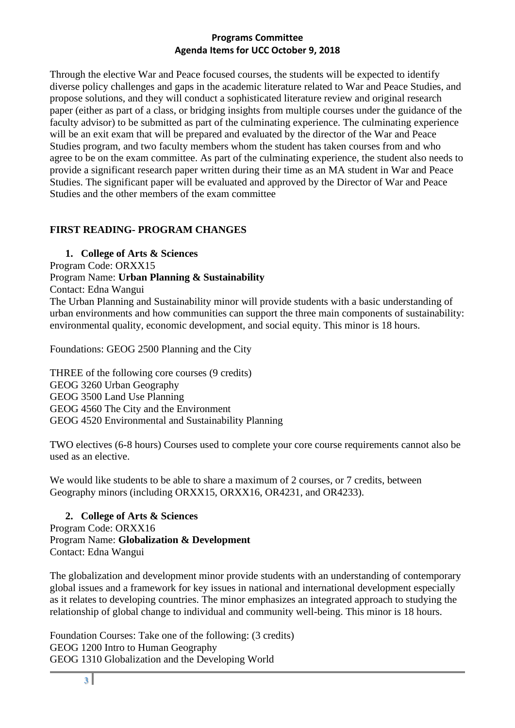Through the elective War and Peace focused courses, the students will be expected to identify diverse policy challenges and gaps in the academic literature related to War and Peace Studies, and propose solutions, and they will conduct a sophisticated literature review and original research paper (either as part of a class, or bridging insights from multiple courses under the guidance of the faculty advisor) to be submitted as part of the culminating experience. The culminating experience will be an exit exam that will be prepared and evaluated by the director of the War and Peace Studies program, and two faculty members whom the student has taken courses from and who agree to be on the exam committee. As part of the culminating experience, the student also needs to provide a significant research paper written during their time as an MA student in War and Peace Studies. The significant paper will be evaluated and approved by the Director of War and Peace Studies and the other members of the exam committee

## **FIRST READING- PROGRAM CHANGES**

**1. College of Arts & Sciences** 

Program Code: ORXX15

Program Name: **Urban Planning & Sustainability**

Contact: Edna Wangui

The Urban Planning and Sustainability minor will provide students with a basic understanding of urban environments and how communities can support the three main components of sustainability: environmental quality, economic development, and social equity. This minor is 18 hours.

Foundations: GEOG 2500 Planning and the City

THREE of the following core courses (9 credits) GEOG 3260 Urban Geography GEOG 3500 Land Use Planning GEOG 4560 The City and the Environment GEOG 4520 Environmental and Sustainability Planning

TWO electives (6-8 hours) Courses used to complete your core course requirements cannot also be used as an elective.

We would like students to be able to share a maximum of 2 courses, or 7 credits, between Geography minors (including ORXX15, ORXX16, OR4231, and OR4233).

**2. College of Arts & Sciences**  Program Code: ORXX16 Program Name: **Globalization & Development** Contact: Edna Wangui

The globalization and development minor provide students with an understanding of contemporary global issues and a framework for key issues in national and international development especially as it relates to developing countries. The minor emphasizes an integrated approach to studying the relationship of global change to individual and community well-being. This minor is 18 hours.

Foundation Courses: Take one of the following: (3 credits) GEOG 1200 Intro to Human Geography GEOG 1310 Globalization and the Developing World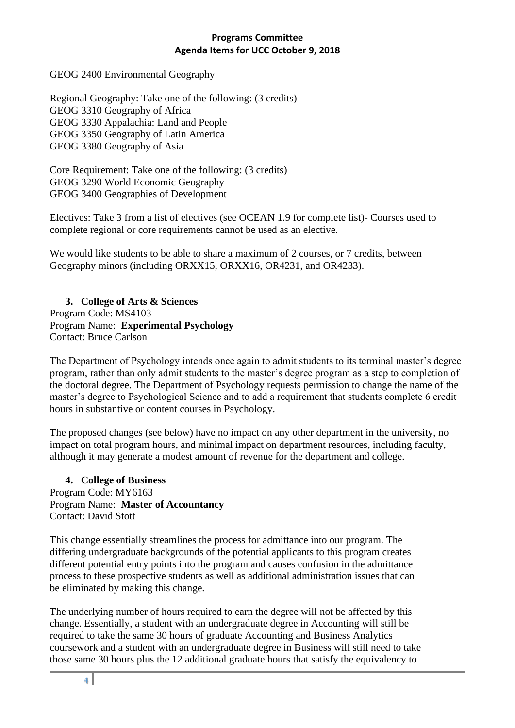GEOG 2400 Environmental Geography

Regional Geography: Take one of the following: (3 credits) GEOG 3310 Geography of Africa GEOG 3330 Appalachia: Land and People GEOG 3350 Geography of Latin America GEOG 3380 Geography of Asia

Core Requirement: Take one of the following: (3 credits) GEOG 3290 World Economic Geography GEOG 3400 Geographies of Development

Electives: Take 3 from a list of electives (see OCEAN 1.9 for complete list)- Courses used to complete regional or core requirements cannot be used as an elective.

We would like students to be able to share a maximum of 2 courses, or 7 credits, between Geography minors (including ORXX15, ORXX16, OR4231, and OR4233).

**3. College of Arts & Sciences**  Program Code: MS4103 Program Name: **Experimental Psychology** Contact: Bruce Carlson

The Department of Psychology intends once again to admit students to its terminal master's degree program, rather than only admit students to the master's degree program as a step to completion of the doctoral degree. The Department of Psychology requests permission to change the name of the master's degree to Psychological Science and to add a requirement that students complete 6 credit hours in substantive or content courses in Psychology.

The proposed changes (see below) have no impact on any other department in the university, no impact on total program hours, and minimal impact on department resources, including faculty, although it may generate a modest amount of revenue for the department and college.

#### **4. College of Business** Program Code: MY6163

Program Name: **Master of Accountancy** Contact: David Stott

This change essentially streamlines the process for admittance into our program. The differing undergraduate backgrounds of the potential applicants to this program creates different potential entry points into the program and causes confusion in the admittance process to these prospective students as well as additional administration issues that can be eliminated by making this change.

The underlying number of hours required to earn the degree will not be affected by this change. Essentially, a student with an undergraduate degree in Accounting will still be required to take the same 30 hours of graduate Accounting and Business Analytics coursework and a student with an undergraduate degree in Business will still need to take those same 30 hours plus the 12 additional graduate hours that satisfy the equivalency to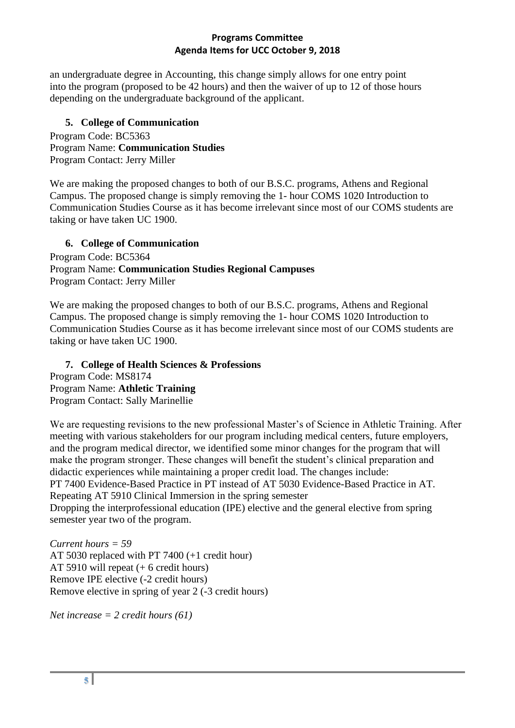an undergraduate degree in Accounting, this change simply allows for one entry point into the program (proposed to be 42 hours) and then the waiver of up to 12 of those hours depending on the undergraduate background of the applicant.

# **5. College of Communication**

Program Code: BC5363 Program Name: **Communication Studies**  Program Contact: Jerry Miller

We are making the proposed changes to both of our B.S.C. programs, Athens and Regional Campus. The proposed change is simply removing the 1- hour COMS 1020 Introduction to Communication Studies Course as it has become irrelevant since most of our COMS students are taking or have taken UC 1900.

# **6. College of Communication**

Program Code: BC5364 Program Name: **Communication Studies Regional Campuses** Program Contact: Jerry Miller

We are making the proposed changes to both of our B.S.C. programs, Athens and Regional Campus. The proposed change is simply removing the 1- hour COMS 1020 Introduction to Communication Studies Course as it has become irrelevant since most of our COMS students are taking or have taken UC 1900.

**7. College of Health Sciences & Professions** Program Code: MS8174 Program Name: **Athletic Training** Program Contact: Sally Marinellie

We are requesting revisions to the new professional Master's of Science in Athletic Training. After meeting with various stakeholders for our program including medical centers, future employers, and the program medical director, we identified some minor changes for the program that will make the program stronger. These changes will benefit the student's clinical preparation and didactic experiences while maintaining a proper credit load. The changes include: PT 7400 Evidence-Based Practice in PT instead of AT 5030 Evidence-Based Practice in AT. Repeating AT 5910 Clinical Immersion in the spring semester

Dropping the interprofessional education (IPE) elective and the general elective from spring semester year two of the program.

*Current hours = 59*  AT 5030 replaced with PT 7400 (+1 credit hour) AT 5910 will repeat (+ 6 credit hours) Remove IPE elective (-2 credit hours) Remove elective in spring of year 2 (-3 credit hours)

*Net increase = 2 credit hours (61)*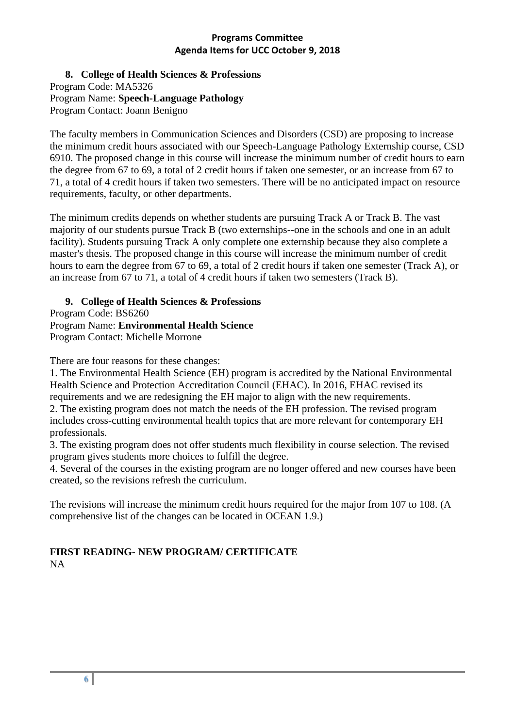**8. College of Health Sciences & Professions**  Program Code: MA5326 Program Name: **Speech-Language Pathology** Program Contact: Joann Benigno

The faculty members in Communication Sciences and Disorders (CSD) are proposing to increase the minimum credit hours associated with our Speech-Language Pathology Externship course, CSD 6910. The proposed change in this course will increase the minimum number of credit hours to earn the degree from 67 to 69, a total of 2 credit hours if taken one semester, or an increase from 67 to 71, a total of 4 credit hours if taken two semesters. There will be no anticipated impact on resource requirements, faculty, or other departments.

The minimum credits depends on whether students are pursuing Track A or Track B. The vast majority of our students pursue Track B (two externships--one in the schools and one in an adult facility). Students pursuing Track A only complete one externship because they also complete a master's thesis. The proposed change in this course will increase the minimum number of credit hours to earn the degree from 67 to 69, a total of 2 credit hours if taken one semester (Track A), or an increase from 67 to 71, a total of 4 credit hours if taken two semesters (Track B).

**9. College of Health Sciences & Professions**

Program Code: BS6260 Program Name: **Environmental Health Science** Program Contact: Michelle Morrone

There are four reasons for these changes:

1. The Environmental Health Science (EH) program is accredited by the National Environmental Health Science and Protection Accreditation Council (EHAC). In 2016, EHAC revised its requirements and we are redesigning the EH major to align with the new requirements. 2. The existing program does not match the needs of the EH profession. The revised program includes cross-cutting environmental health topics that are more relevant for contemporary EH professionals.

3. The existing program does not offer students much flexibility in course selection. The revised program gives students more choices to fulfill the degree.

4. Several of the courses in the existing program are no longer offered and new courses have been created, so the revisions refresh the curriculum.

The revisions will increase the minimum credit hours required for the major from 107 to 108. (A comprehensive list of the changes can be located in OCEAN 1.9.)

## **FIRST READING- NEW PROGRAM/ CERTIFICATE** NA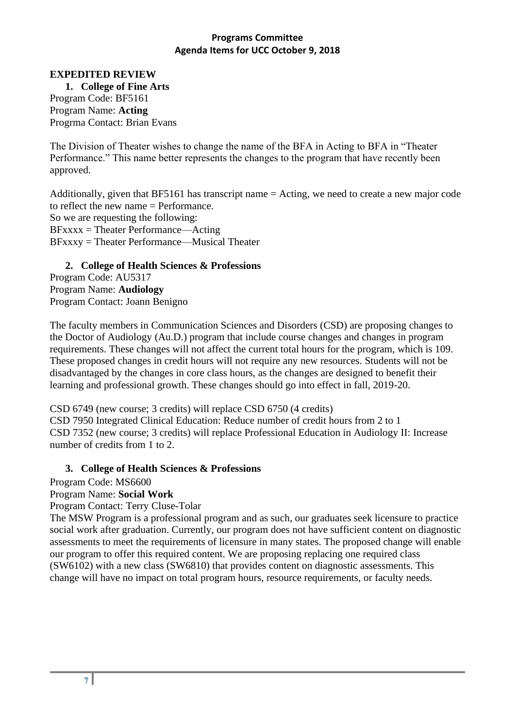#### **EXPEDITED REVIEW**

**1. College of Fine Arts** Program Code: BF5161 Program Name: **Acting** Progrma Contact: Brian Evans

The Division of Theater wishes to change the name of the BFA in Acting to BFA in "Theater Performance." This name better represents the changes to the program that have recently been approved.

Additionally, given that BF5161 has transcript name = Acting, we need to create a new major code to reflect the new name = Performance. So we are requesting the following: BFxxxx = Theater Performance—Acting BFxxxy = Theater Performance—Musical Theater

## **2. College of Health Sciences & Professions**

Program Code: AU5317 Program Name: **Audiology** Program Contact: Joann Benigno

The faculty members in Communication Sciences and Disorders (CSD) are proposing changes to the Doctor of Audiology (Au.D.) program that include course changes and changes in program requirements. These changes will not affect the current total hours for the program, which is 109. These proposed changes in credit hours will not require any new resources. Students will not be disadvantaged by the changes in core class hours, as the changes are designed to benefit their learning and professional growth. These changes should go into effect in fall, 2019-20.

CSD 6749 (new course; 3 credits) will replace CSD 6750 (4 credits) CSD 7950 Integrated Clinical Education: Reduce number of credit hours from 2 to 1 CSD 7352 (new course; 3 credits) will replace Professional Education in Audiology II: Increase number of credits from 1 to 2.

#### **3. College of Health Sciences & Professions**

Program Code: MS6600

#### Program Name: **Social Work**

Program Contact: Terry Cluse-Tolar

The MSW Program is a professional program and as such, our graduates seek licensure to practice social work after graduation. Currently, our program does not have sufficient content on diagnostic assessments to meet the requirements of licensure in many states. The proposed change will enable our program to offer this required content. We are proposing replacing one required class (SW6102) with a new class (SW6810) that provides content on diagnostic assessments. This change will have no impact on total program hours, resource requirements, or faculty needs.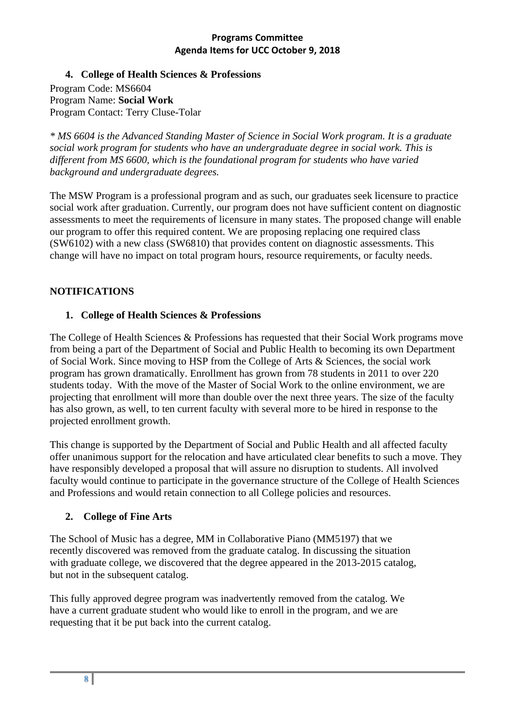**4. College of Health Sciences & Professions**

Program Code: MS6604 Program Name: **Social Work** Program Contact: Terry Cluse-Tolar

*\* MS 6604 is the Advanced Standing Master of Science in Social Work program. It is a graduate social work program for students who have an undergraduate degree in social work. This is different from MS 6600, which is the foundational program for students who have varied background and undergraduate degrees.*

The MSW Program is a professional program and as such, our graduates seek licensure to practice social work after graduation. Currently, our program does not have sufficient content on diagnostic assessments to meet the requirements of licensure in many states. The proposed change will enable our program to offer this required content. We are proposing replacing one required class (SW6102) with a new class (SW6810) that provides content on diagnostic assessments. This change will have no impact on total program hours, resource requirements, or faculty needs.

## **NOTIFICATIONS**

## **1. College of Health Sciences & Professions**

The College of Health Sciences & Professions has requested that their Social Work programs move from being a part of the Department of Social and Public Health to becoming its own Department of Social Work. Since moving to HSP from the College of Arts & Sciences, the social work program has grown dramatically. Enrollment has grown from 78 students in 2011 to over 220 students today. With the move of the Master of Social Work to the online environment, we are projecting that enrollment will more than double over the next three years. The size of the faculty has also grown, as well, to ten current faculty with several more to be hired in response to the projected enrollment growth.

This change is supported by the Department of Social and Public Health and all affected faculty offer unanimous support for the relocation and have articulated clear benefits to such a move. They have responsibly developed a proposal that will assure no disruption to students. All involved faculty would continue to participate in the governance structure of the College of Health Sciences and Professions and would retain connection to all College policies and resources.

## **2. College of Fine Arts**

The School of Music has a degree, MM in Collaborative Piano (MM5197) that we recently discovered was removed from the graduate catalog. In discussing the situation with graduate college, we discovered that the degree appeared in the 2013-2015 catalog, but not in the subsequent catalog.

This fully approved degree program was inadvertently removed from the catalog. We have a current graduate student who would like to enroll in the program, and we are requesting that it be put back into the current catalog.